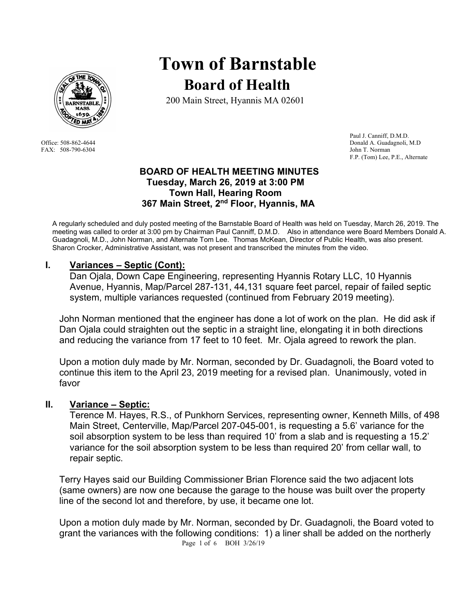

FAX: 508-790-6304 John T. Norman

# **Town of Barnstable Board of Health**

200 Main Street, Hyannis MA 02601

 Paul J. Canniff, D.M.D. Office: 508-862-4644 Donald A. Guadagnoli, M.D F.P. (Tom) Lee, P.E., Alternate

#### **BOARD OF HEALTH MEETING MINUTES Tuesday, March 26, 2019 at 3:00 PM Town Hall, Hearing Room 367 Main Street, 2nd Floor, Hyannis, MA**

A regularly scheduled and duly posted meeting of the Barnstable Board of Health was held on Tuesday, March 26, 2019. The meeting was called to order at 3:00 pm by Chairman Paul Canniff, D.M.D. Also in attendance were Board Members Donald A. Guadagnoli, M.D., John Norman, and Alternate Tom Lee. Thomas McKean, Director of Public Health, was also present. Sharon Crocker, Administrative Assistant, was not present and transcribed the minutes from the video.

#### **I. Variances – Septic (Cont):**

Dan Ojala, Down Cape Engineering, representing Hyannis Rotary LLC, 10 Hyannis Avenue, Hyannis, Map/Parcel 287-131, 44,131 square feet parcel, repair of failed septic system, multiple variances requested (continued from February 2019 meeting).

John Norman mentioned that the engineer has done a lot of work on the plan. He did ask if Dan Ojala could straighten out the septic in a straight line, elongating it in both directions and reducing the variance from 17 feet to 10 feet. Mr. Ojala agreed to rework the plan.

Upon a motion duly made by Mr. Norman, seconded by Dr. Guadagnoli, the Board voted to continue this item to the April 23, 2019 meeting for a revised plan. Unanimously, voted in favor

#### **II. Variance – Septic:**

Terence M. Hayes, R.S., of Punkhorn Services, representing owner, Kenneth Mills, of 498 Main Street, Centerville, Map/Parcel 207-045-001, is requesting a 5.6' variance for the soil absorption system to be less than required 10' from a slab and is requesting a 15.2' variance for the soil absorption system to be less than required 20' from cellar wall, to repair septic.

Terry Hayes said our Building Commissioner Brian Florence said the two adjacent lots (same owners) are now one because the garage to the house was built over the property line of the second lot and therefore, by use, it became one lot.

Page 1 of 6 BOH 3/26/19 Upon a motion duly made by Mr. Norman, seconded by Dr. Guadagnoli, the Board voted to grant the variances with the following conditions: 1) a liner shall be added on the northerly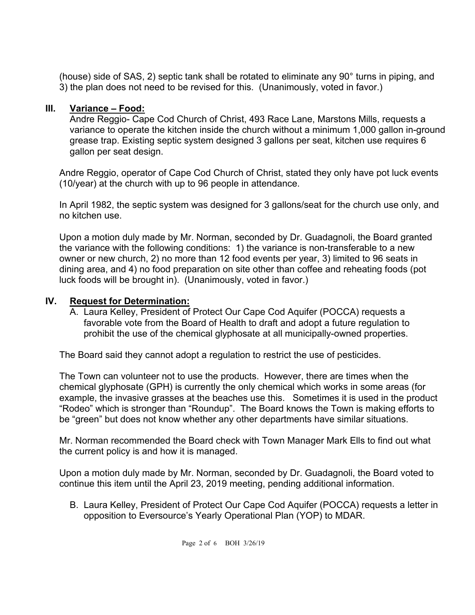(house) side of SAS, 2) septic tank shall be rotated to eliminate any 90° turns in piping, and 3) the plan does not need to be revised for this. (Unanimously, voted in favor.)

## **III. Variance – Food:**

Andre Reggio- Cape Cod Church of Christ, 493 Race Lane, Marstons Mills, requests a variance to operate the kitchen inside the church without a minimum 1,000 gallon in-ground grease trap. Existing septic system designed 3 gallons per seat, kitchen use requires 6 gallon per seat design.

Andre Reggio, operator of Cape Cod Church of Christ, stated they only have pot luck events (10/year) at the church with up to 96 people in attendance.

In April 1982, the septic system was designed for 3 gallons/seat for the church use only, and no kitchen use.

Upon a motion duly made by Mr. Norman, seconded by Dr. Guadagnoli, the Board granted the variance with the following conditions: 1) the variance is non-transferable to a new owner or new church, 2) no more than 12 food events per year, 3) limited to 96 seats in dining area, and 4) no food preparation on site other than coffee and reheating foods (pot luck foods will be brought in). (Unanimously, voted in favor.)

#### **IV. Request for Determination:**

A. Laura Kelley, President of Protect Our Cape Cod Aquifer (POCCA) requests a favorable vote from the Board of Health to draft and adopt a future regulation to prohibit the use of the chemical glyphosate at all municipally-owned properties.

The Board said they cannot adopt a regulation to restrict the use of pesticides.

The Town can volunteer not to use the products. However, there are times when the chemical glyphosate (GPH) is currently the only chemical which works in some areas (for example, the invasive grasses at the beaches use this. Sometimes it is used in the product "Rodeo" which is stronger than "Roundup". The Board knows the Town is making efforts to be "green" but does not know whether any other departments have similar situations.

Mr. Norman recommended the Board check with Town Manager Mark Ells to find out what the current policy is and how it is managed.

Upon a motion duly made by Mr. Norman, seconded by Dr. Guadagnoli, the Board voted to continue this item until the April 23, 2019 meeting, pending additional information.

B. Laura Kelley, President of Protect Our Cape Cod Aquifer (POCCA) requests a letter in opposition to Eversource's Yearly Operational Plan (YOP) to MDAR.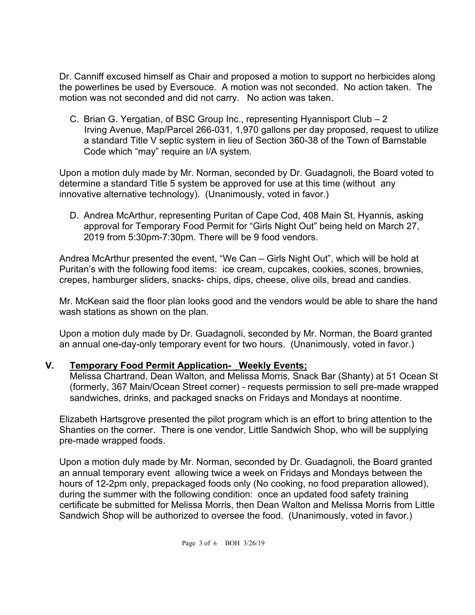Dr. Canniff excused himself as Chair and proposed a motion to support no herbicides along the powerlines be used by Eversouce. A motion was not seconded. No action taken. The motion was not seconded and did not carry. No action was taken.

C. Brian G. Yergatian, of BSC Group Inc., representing Hyannisport Club – 2 Irving Avenue, Map/Parcel 266-031, 1,970 gallons per day proposed, request to utilize a standard Title V septic system in lieu of Section 360-38 of the Town of Barnstable Code which "may" require an I/A system.

Upon a motion duly made by Mr. Norman, seconded by Dr. Guadagnoli, the Board voted to determine a standard Title 5 system be approved for use at this time (without any innovative alternative technology). (Unanimously, voted in favor.)

D. Andrea McArthur, representing Puritan of Cape Cod, 408 Main St, Hyannis, asking approval for Temporary Food Permit for "Girls Night Out" being held on March 27, 2019 from 5:30pm-7:30pm. There will be 9 food vendors.

Andrea McArthur presented the event, "We Can – Girls Night Out", which will be hold at Puritan's with the following food items: ice cream, cupcakes, cookies, scones, brownies, crepes, hamburger sliders, snacks- chips, dips, cheese, olive oils, bread and candies.

Mr. McKean said the floor plan looks good and the vendors would be able to share the hand wash stations as shown on the plan.

Upon a motion duly made by Dr. Guadagnoli, seconded by Mr. Norman, the Board granted an annual one-day-only temporary event for two hours. (Unanimously, voted in favor.)

# **V.** Temporary Food Permit Application- Weekly Events;

Melissa Chartrand, Dean Walton, and Melissa Morris, Snack Bar (Shanty) at 51 Ocean St (formerly, 367 Main/Ocean Street corner) - requests permission to sell pre-made wrapped sandwiches, drinks, and packaged snacks on Fridays and Mondays at noontime.

Elizabeth Hartsgrove presented the pilot program which is an effort to bring attention to the Shanties on the corner. There is one vendor, Little Sandwich Shop, who will be supplying pre-made wrapped foods.

Upon a motion duly made by Mr. Norman, seconded by Dr. Guadagnoli, the Board granted an annual temporary event allowing twice a week on Fridays and Mondays between the hours of 12-2pm only, prepackaged foods only (No cooking, no food preparation allowed), during the summer with the following condition: once an updated food safety training certificate be submitted for Melissa Morris, then Dean Walton and Melissa Morris from Little Sandwich Shop will be authorized to oversee the food. (Unanimously, voted in favor.)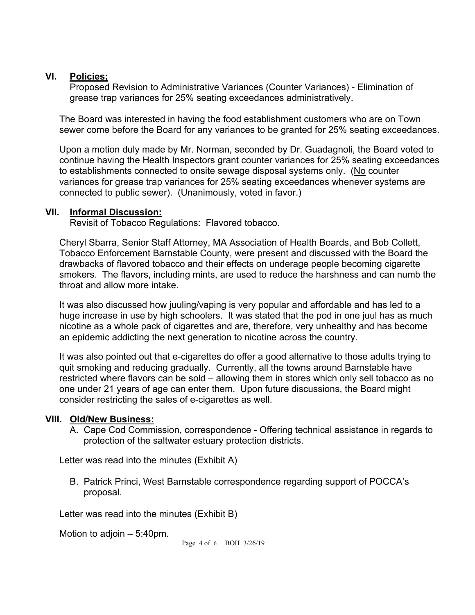#### **VI. Policies;**

Proposed Revision to Administrative Variances (Counter Variances) - Elimination of grease trap variances for 25% seating exceedances administratively.

The Board was interested in having the food establishment customers who are on Town sewer come before the Board for any variances to be granted for 25% seating exceedances.

Upon a motion duly made by Mr. Norman, seconded by Dr. Guadagnoli, the Board voted to continue having the Health Inspectors grant counter variances for 25% seating exceedances to establishments connected to onsite sewage disposal systems only. (No counter variances for grease trap variances for 25% seating exceedances whenever systems are connected to public sewer). (Unanimously, voted in favor.)

#### **VII. Informal Discussion:**

Revisit of Tobacco Regulations: Flavored tobacco.

Cheryl Sbarra, Senior Staff Attorney, MA Association of Health Boards, and Bob Collett, Tobacco Enforcement Barnstable County, were present and discussed with the Board the drawbacks of flavored tobacco and their effects on underage people becoming cigarette smokers. The flavors, including mints, are used to reduce the harshness and can numb the throat and allow more intake.

It was also discussed how juuling/vaping is very popular and affordable and has led to a huge increase in use by high schoolers. It was stated that the pod in one juul has as much nicotine as a whole pack of cigarettes and are, therefore, very unhealthy and has become an epidemic addicting the next generation to nicotine across the country.

It was also pointed out that e-cigarettes do offer a good alternative to those adults trying to quit smoking and reducing gradually. Currently, all the towns around Barnstable have restricted where flavors can be sold – allowing them in stores which only sell tobacco as no one under 21 years of age can enter them. Upon future discussions, the Board might consider restricting the sales of e-cigarettes as well.

## **VIII. Old/New Business:**

A. Cape Cod Commission, correspondence - Offering technical assistance in regards to protection of the saltwater estuary protection districts.

Letter was read into the minutes (Exhibit A)

B. Patrick Princi, West Barnstable correspondence regarding support of POCCA's proposal.

Letter was read into the minutes (Exhibit B)

Motion to adjoin – 5:40pm.

Page 4 of 6 BOH 3/26/19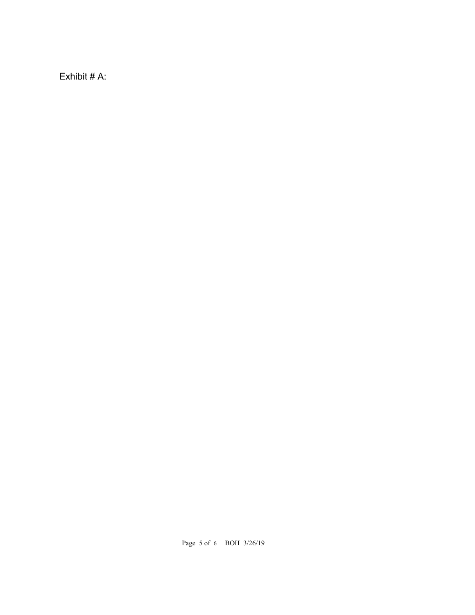Exhibit # A: